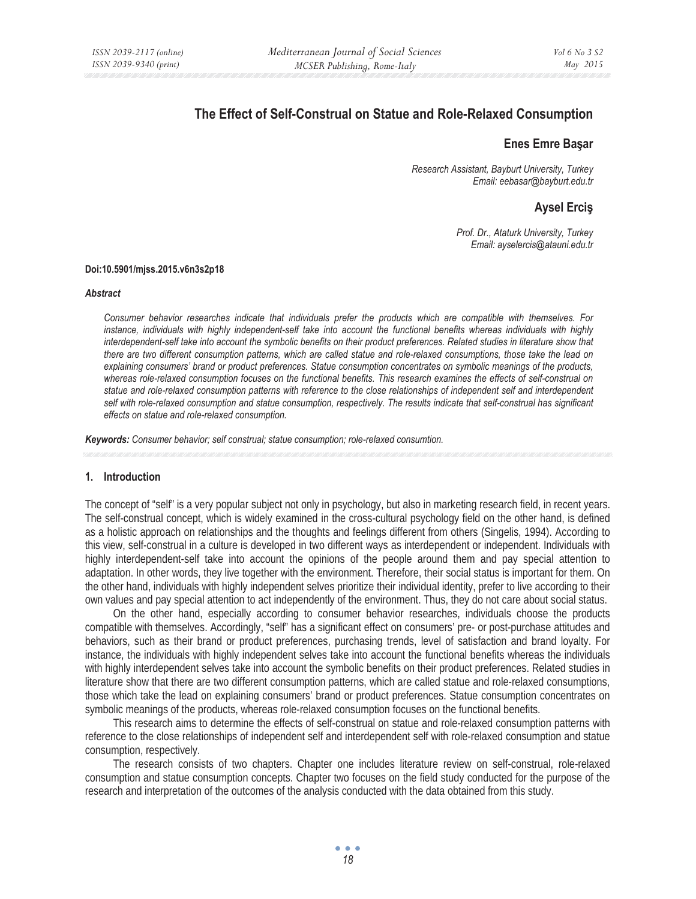# **The Effect of Self-Construal on Statue and Role-Relaxed Consumption**

## **Enes Emre Baûar**

*Research Assistant, Bayburt University, Turkey Email: eebasar@bayburt.edu.tr* 

## **Aysel Erciû**

*Prof. Dr., Ataturk University, Turkey Email: ayselercis@atauni.edu.tr* 

#### **Doi:10.5901/mjss.2015.v6n3s2p18**

#### *Abstract*

*Consumer behavior researches indicate that individuals prefer the products which are compatible with themselves. For*  instance, individuals with highly independent-self take into account the functional benefits whereas individuals with highly interdependent-self take into account the symbolic benefits on their product preferences. Related studies in literature show that *there are two different consumption patterns, which are called statue and role-relaxed consumptions, those take the lead on explaining consumers' brand or product preferences. Statue consumption concentrates on symbolic meanings of the products, whereas role-relaxed consumption focuses on the functional benefits. This research examines the effects of self-construal on statue and role-relaxed consumption patterns with reference to the close relationships of independent self and interdependent*  self with role-relaxed consumption and statue consumption, respectively. The results indicate that self-construal has significant *effects on statue and role-relaxed consumption.* 

*Keywords: Consumer behavior; self construal; statue consumption; role-relaxed consumtion.* 

#### **1. Introduction**

The concept of "self" is a very popular subject not only in psychology, but also in marketing research field, in recent years. The self-construal concept, which is widely examined in the cross-cultural psychology field on the other hand, is defined as a holistic approach on relationships and the thoughts and feelings different from others (Singelis, 1994). According to this view, self-construal in a culture is developed in two different ways as interdependent or independent. Individuals with highly interdependent-self take into account the opinions of the people around them and pay special attention to adaptation. In other words, they live together with the environment. Therefore, their social status is important for them. On the other hand, individuals with highly independent selves prioritize their individual identity, prefer to live according to their own values and pay special attention to act independently of the environment. Thus, they do not care about social status.

On the other hand, especially according to consumer behavior researches, individuals choose the products compatible with themselves. Accordingly, "self" has a significant effect on consumers' pre- or post-purchase attitudes and behaviors, such as their brand or product preferences, purchasing trends, level of satisfaction and brand loyalty. For instance, the individuals with highly independent selves take into account the functional benefits whereas the individuals with highly interdependent selves take into account the symbolic benefits on their product preferences. Related studies in literature show that there are two different consumption patterns, which are called statue and role-relaxed consumptions, those which take the lead on explaining consumers' brand or product preferences. Statue consumption concentrates on symbolic meanings of the products, whereas role-relaxed consumption focuses on the functional benefits.

This research aims to determine the effects of self-construal on statue and role-relaxed consumption patterns with reference to the close relationships of independent self and interdependent self with role-relaxed consumption and statue consumption, respectively.

The research consists of two chapters. Chapter one includes literature review on self-construal, role-relaxed consumption and statue consumption concepts. Chapter two focuses on the field study conducted for the purpose of the research and interpretation of the outcomes of the analysis conducted with the data obtained from this study.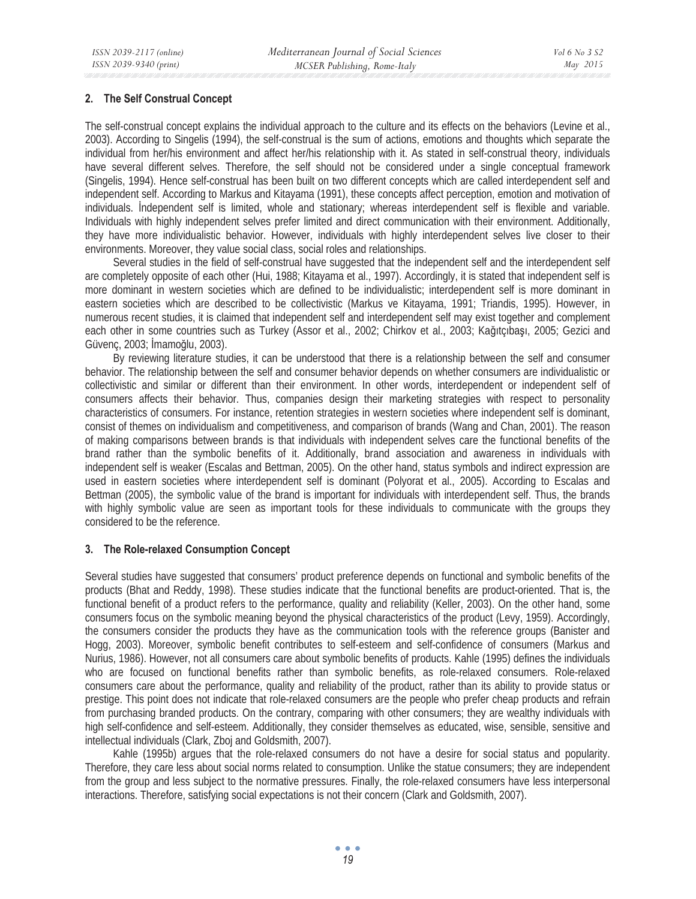#### **2. The Self Construal Concept**

The self-construal concept explains the individual approach to the culture and its effects on the behaviors (Levine et al., 2003). According to Singelis (1994), the self-construal is the sum of actions, emotions and thoughts which separate the individual from her/his environment and affect her/his relationship with it. As stated in self-construal theory, individuals have several different selves. Therefore, the self should not be considered under a single conceptual framework (Singelis, 1994). Hence self-construal has been built on two different concepts which are called interdependent self and independent self. According to Markus and Kitayama (1991), these concepts affect perception, emotion and motivation of individuals. Independent self is limited, whole and stationary; whereas interdependent self is flexible and variable. Individuals with highly independent selves prefer limited and direct communication with their environment. Additionally, they have more individualistic behavior. However, individuals with highly interdependent selves live closer to their environments. Moreover, they value social class, social roles and relationships.

Several studies in the field of self-construal have suggested that the independent self and the interdependent self are completely opposite of each other (Hui, 1988; Kitayama et al., 1997). Accordingly, it is stated that independent self is more dominant in western societies which are defined to be individualistic; interdependent self is more dominant in eastern societies which are described to be collectivistic (Markus ve Kitayama, 1991; Triandis, 1995). However, in numerous recent studies, it is claimed that independent self and interdependent self may exist together and complement each other in some countries such as Turkey (Assor et al., 2002; Chirkov et al., 2003; Kağıtçıbaşı, 2005; Gezici and Güvenc, 2003; İmamoğlu, 2003).

By reviewing literature studies, it can be understood that there is a relationship between the self and consumer behavior. The relationship between the self and consumer behavior depends on whether consumers are individualistic or collectivistic and similar or different than their environment. In other words, interdependent or independent self of consumers affects their behavior. Thus, companies design their marketing strategies with respect to personality characteristics of consumers. For instance, retention strategies in western societies where independent self is dominant, consist of themes on individualism and competitiveness, and comparison of brands (Wang and Chan, 2001). The reason of making comparisons between brands is that individuals with independent selves care the functional benefits of the brand rather than the symbolic benefits of it. Additionally, brand association and awareness in individuals with independent self is weaker (Escalas and Bettman, 2005). On the other hand, status symbols and indirect expression are used in eastern societies where interdependent self is dominant (Polyorat et al., 2005). According to Escalas and Bettman (2005), the symbolic value of the brand is important for individuals with interdependent self. Thus, the brands with highly symbolic value are seen as important tools for these individuals to communicate with the groups they considered to be the reference.

#### **3. The Role-relaxed Consumption Concept**

Several studies have suggested that consumers' product preference depends on functional and symbolic benefits of the products (Bhat and Reddy, 1998). These studies indicate that the functional benefits are product-oriented. That is, the functional benefit of a product refers to the performance, quality and reliability (Keller, 2003). On the other hand, some consumers focus on the symbolic meaning beyond the physical characteristics of the product (Levy, 1959). Accordingly, the consumers consider the products they have as the communication tools with the reference groups (Banister and Hogg, 2003). Moreover, symbolic benefit contributes to self-esteem and self-confidence of consumers (Markus and Nurius, 1986). However, not all consumers care about symbolic benefits of products. Kahle (1995) defines the individuals who are focused on functional benefits rather than symbolic benefits, as role-relaxed consumers. Role-relaxed consumers care about the performance, quality and reliability of the product, rather than its ability to provide status or prestige. This point does not indicate that role-relaxed consumers are the people who prefer cheap products and refrain from purchasing branded products. On the contrary, comparing with other consumers; they are wealthy individuals with high self-confidence and self-esteem. Additionally, they consider themselves as educated, wise, sensible, sensitive and intellectual individuals (Clark, Zboj and Goldsmith, 2007).

Kahle (1995b) argues that the role-relaxed consumers do not have a desire for social status and popularity. Therefore, they care less about social norms related to consumption. Unlike the statue consumers; they are independent from the group and less subject to the normative pressures. Finally, the role-relaxed consumers have less interpersonal interactions. Therefore, satisfying social expectations is not their concern (Clark and Goldsmith, 2007).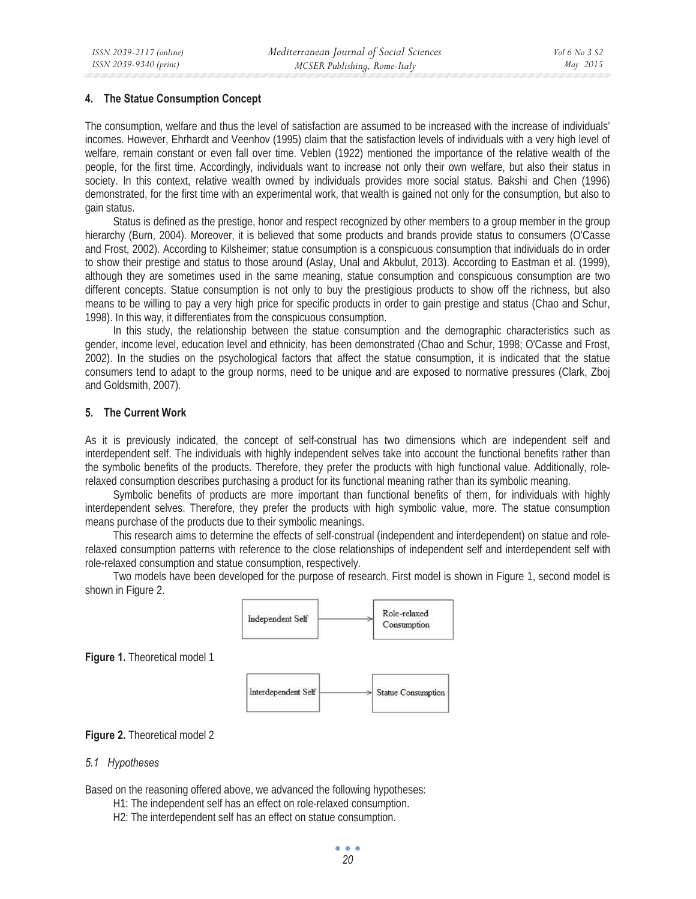#### **4. The Statue Consumption Concept**

The consumption, welfare and thus the level of satisfaction are assumed to be increased with the increase of individuals' incomes. However, Ehrhardt and Veenhov (1995) claim that the satisfaction levels of individuals with a very high level of welfare, remain constant or even fall over time. Veblen (1922) mentioned the importance of the relative wealth of the people, for the first time. Accordingly, individuals want to increase not only their own welfare, but also their status in society. In this context, relative wealth owned by individuals provides more social status. Bakshi and Chen (1996) demonstrated, for the first time with an experimental work, that wealth is gained not only for the consumption, but also to gain status.

Status is defined as the prestige, honor and respect recognized by other members to a group member in the group hierarchy (Burn, 2004). Moreover, it is believed that some products and brands provide status to consumers (O'Casse and Frost, 2002). According to Kilsheimer; statue consumption is a conspicuous consumption that individuals do in order to show their prestige and status to those around (Aslay, Unal and Akbulut, 2013). According to Eastman et al. (1999), although they are sometimes used in the same meaning, statue consumption and conspicuous consumption are two different concepts. Statue consumption is not only to buy the prestigious products to show off the richness, but also means to be willing to pay a very high price for specific products in order to gain prestige and status (Chao and Schur, 1998). In this way, it differentiates from the conspicuous consumption.

In this study, the relationship between the statue consumption and the demographic characteristics such as gender, income level, education level and ethnicity, has been demonstrated (Chao and Schur, 1998; O'Casse and Frost, 2002). In the studies on the psychological factors that affect the statue consumption, it is indicated that the statue consumers tend to adapt to the group norms, need to be unique and are exposed to normative pressures (Clark, Zboj and Goldsmith, 2007).

#### **5. The Current Work**

As it is previously indicated, the concept of self-construal has two dimensions which are independent self and interdependent self. The individuals with highly independent selves take into account the functional benefits rather than the symbolic benefits of the products. Therefore, they prefer the products with high functional value. Additionally, rolerelaxed consumption describes purchasing a product for its functional meaning rather than its symbolic meaning.

Symbolic benefits of products are more important than functional benefits of them, for individuals with highly interdependent selves. Therefore, they prefer the products with high symbolic value, more. The statue consumption means purchase of the products due to their symbolic meanings.

This research aims to determine the effects of self-construal (independent and interdependent) on statue and rolerelaxed consumption patterns with reference to the close relationships of independent self and interdependent self with role-relaxed consumption and statue consumption, respectively.

Two models have been developed for the purpose of research. First model is shown in Figure 1, second model is shown in Figure 2.



#### **Figure 2.** Theoretical model 2

#### *5.1 Hypotheses*

Based on the reasoning offered above, we advanced the following hypotheses:

- H1: The independent self has an effect on role-relaxed consumption.
- H2: The interdependent self has an effect on statue consumption.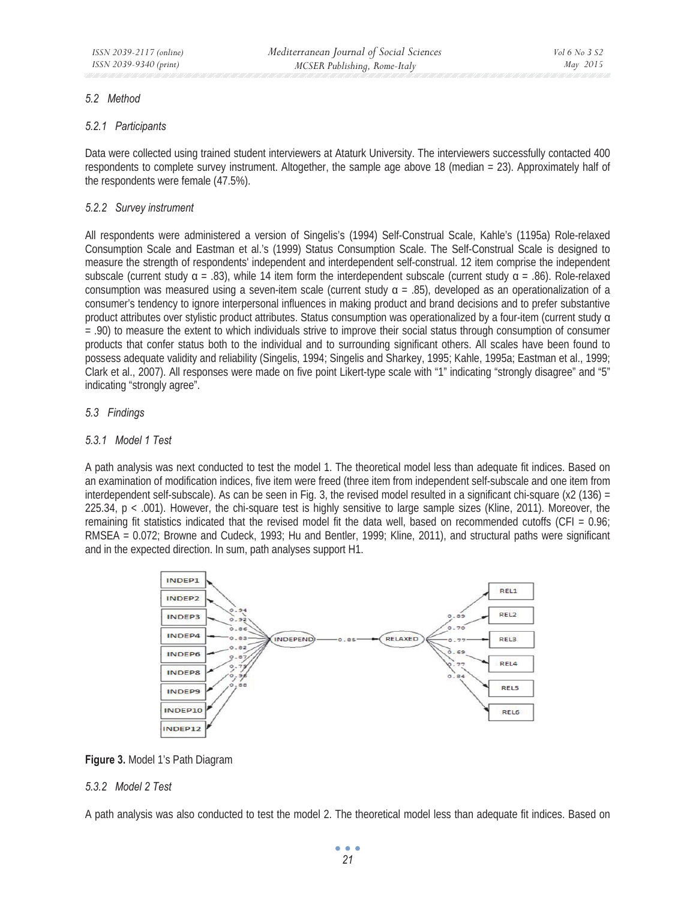## *5.2 Method*

## *5.2.1 Participants*

Data were collected using trained student interviewers at Ataturk University. The interviewers successfully contacted 400 respondents to complete survey instrument. Altogether, the sample age above 18 (median = 23). Approximately half of the respondents were female (47.5%).

## *5.2.2 Survey instrument*

All respondents were administered a version of Singelis's (1994) Self-Construal Scale, Kahle's (1195a) Role-relaxed Consumption Scale and Eastman et al.'s (1999) Status Consumption Scale. The Self-Construal Scale is designed to measure the strength of respondents' independent and interdependent self-construal. 12 item comprise the independent subscale (current study  $\alpha = .83$ ), while 14 item form the interdependent subscale (current study  $\alpha = .86$ ). Role-relaxed consumption was measured using a seven-item scale (current study  $\alpha$  = .85), developed as an operationalization of a consumer's tendency to ignore interpersonal influences in making product and brand decisions and to prefer substantive product attributes over stylistic product attributes. Status consumption was operationalized by a four-item (current study  $\alpha$ ) = .90) to measure the extent to which individuals strive to improve their social status through consumption of consumer products that confer status both to the individual and to surrounding significant others. All scales have been found to possess adequate validity and reliability (Singelis, 1994; Singelis and Sharkey, 1995; Kahle, 1995a; Eastman et al., 1999; Clark et al., 2007). All responses were made on five point Likert-type scale with "1" indicating "strongly disagree" and "5" indicating "strongly agree".

## *5.3 Findings*

## *5.3.1 Model 1 Test*

A path analysis was next conducted to test the model 1. The theoretical model less than adequate fit indices. Based on an examination of modification indices, five item were freed (three item from independent self-subscale and one item from interdependent self-subscale). As can be seen in Fig. 3, the revised model resulted in a significant chi-square (x2 (136) = 225.34, p < .001). However, the chi-square test is highly sensitive to large sample sizes (Kline, 2011). Moreover, the remaining fit statistics indicated that the revised model fit the data well, based on recommended cutoffs (CFI = 0.96; RMSEA = 0.072; Browne and Cudeck, 1993; Hu and Bentler, 1999; Kline, 2011), and structural paths were significant and in the expected direction. In sum, path analyses support H1.



**Figure 3.** Model 1's Path Diagram

## *5.3.2 Model 2 Test*

A path analysis was also conducted to test the model 2. The theoretical model less than adequate fit indices. Based on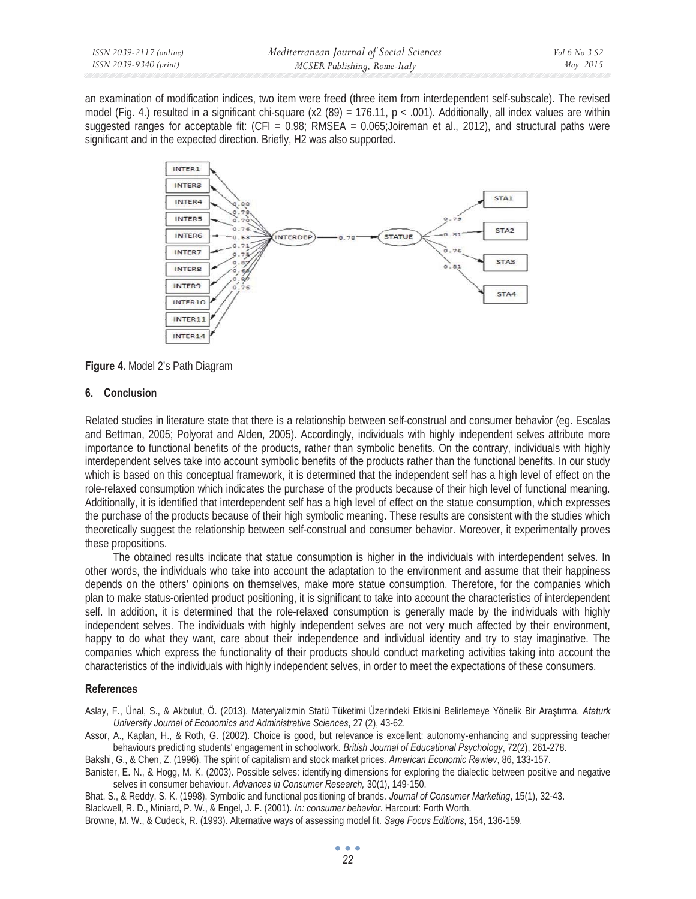an examination of modification indices, two item were freed (three item from interdependent self-subscale). The revised model (Fig. 4.) resulted in a significant chi-square (x2 (89) = 176.11,  $p < .001$ ). Additionally, all index values are within suggested ranges for acceptable fit:  $(CFI = 0.98$ ; RMSEA = 0.065;Joireman et al., 2012), and structural paths were significant and in the expected direction. Briefly, H2 was also supported.



**Figure 4.** Model 2's Path Diagram

## **6. Conclusion**

Related studies in literature state that there is a relationship between self-construal and consumer behavior (eg. Escalas and Bettman, 2005; Polyorat and Alden, 2005). Accordingly, individuals with highly independent selves attribute more importance to functional benefits of the products, rather than symbolic benefits. On the contrary, individuals with highly interdependent selves take into account symbolic benefits of the products rather than the functional benefits. In our study which is based on this conceptual framework, it is determined that the independent self has a high level of effect on the role-relaxed consumption which indicates the purchase of the products because of their high level of functional meaning. Additionally, it is identified that interdependent self has a high level of effect on the statue consumption, which expresses the purchase of the products because of their high symbolic meaning. These results are consistent with the studies which theoretically suggest the relationship between self-construal and consumer behavior. Moreover, it experimentally proves these propositions.

The obtained results indicate that statue consumption is higher in the individuals with interdependent selves. In other words, the individuals who take into account the adaptation to the environment and assume that their happiness depends on the others' opinions on themselves, make more statue consumption. Therefore, for the companies which plan to make status-oriented product positioning, it is significant to take into account the characteristics of interdependent self. In addition, it is determined that the role-relaxed consumption is generally made by the individuals with highly independent selves. The individuals with highly independent selves are not very much affected by their environment, happy to do what they want, care about their independence and individual identity and try to stay imaginative. The companies which express the functionality of their products should conduct marketing activities taking into account the characteristics of the individuals with highly independent selves, in order to meet the expectations of these consumers.

#### **References**

Aslay, F., Ünal, S., & Akbulut, Ö. (2013). Materyalizmin Statü Tüketimi Üzerindeki Etkisini Belirlemeye Yönelik Bir Arastırma. Ataturk *University Journal of Economics and Administrative Sciences*, 27 (2), 43-62.

Assor, A., Kaplan, H., & Roth, G. (2002). Choice is good, but relevance is excellent: autonomy-enhancing and suppressing teacher behaviours predicting students' engagement in schoolwork. *British Journal of Educational Psychology*, 72(2), 261-278.

Bakshi, G., & Chen, Z. (1996). The spirit of capitalism and stock market prices*. American Economic Rewiev*, 86, 133-157.

Banister, E. N., & Hogg, M. K. (2003). Possible selves: identifying dimensions for exploring the dialectic between positive and negative selves in consumer behaviour. *Advances in Consumer Research,* 30(1), 149-150.

Bhat, S., & Reddy, S. K. (1998). Symbolic and functional positioning of brands. *Journal of Consumer Marketing*, 15(1), 32-43. Blackwell, R. D., Miniard, P. W., & Engel, J. F. (2001). *In: consumer behavior*. Harcourt: Forth Worth. Browne, M. W., & Cudeck, R. (1993). Alternative ways of assessing model fit. *Sage Focus Editions*, 154, 136-159.